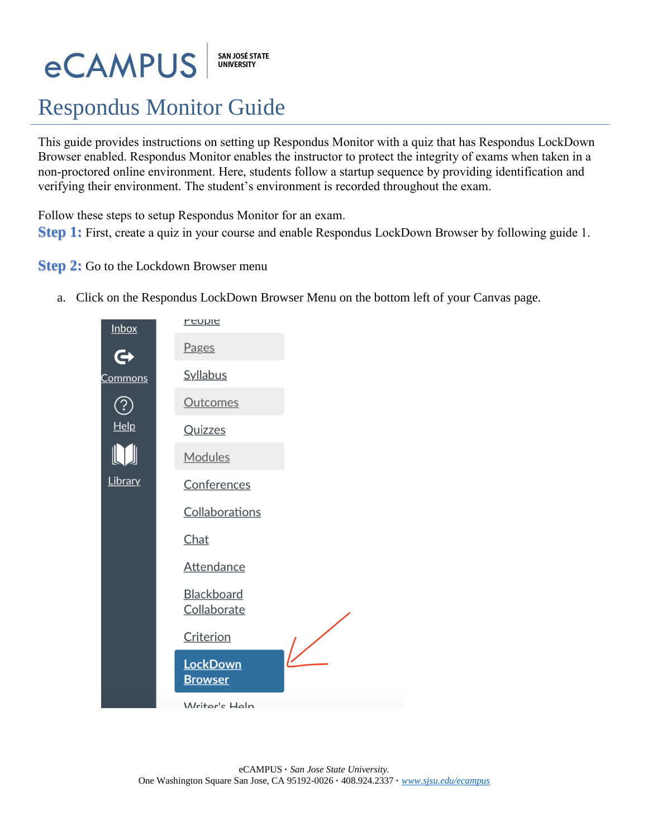# **eCAMPUS**

SAN JOSÉ STATE<br>UNIVERSITY

# Respondus Monitor Guide

This guide provides instructions on setting up Respondus Monitor with a quiz that has Respondus LockDown Browser enabled. Respondus Monitor enables the instructor to protect the integrity of exams when taken in a non-proctored online environment. Here, students follow a startup sequence by providing identification and verifying their environment. The student's environment is recorded throughout the exam.

Follow these steps to setup Respondus Monitor for an exam.

**Step 1:** First, create a quiz in your course and enable Respondus LockDown Browser by following guide 1.

### **Step 2:** Go to the Lockdown Browser menu

a. Click on the Respondus LockDown Browser Menu on the bottom left of your Canvas page.

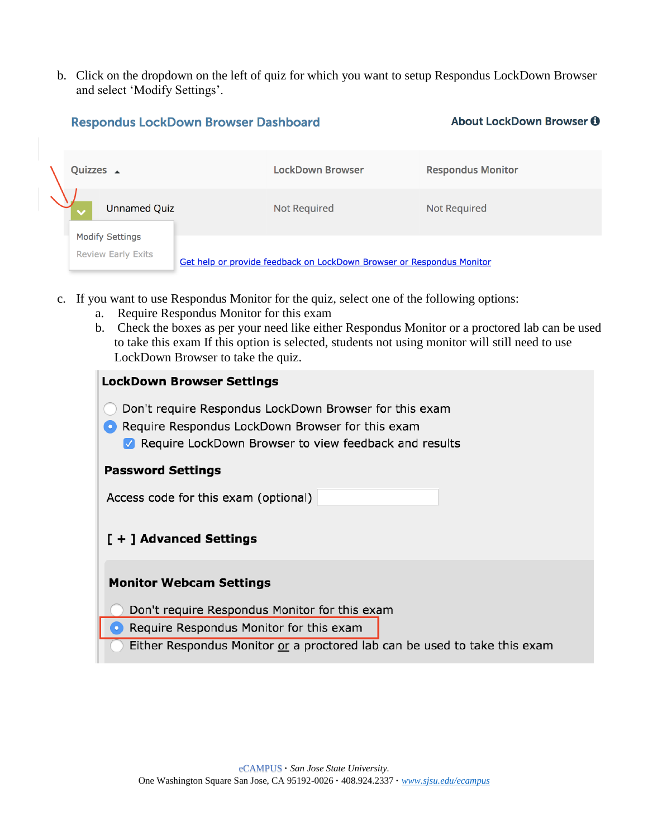b. Click on the dropdown on the left of quiz for which you want to setup Respondus LockDown Browser and select 'Modify Settings'.

About LockDown Browser n

# **LockDown Browser Respondus Monitor** Quizzes \_ **Unnamed Quiz Not Required Not Required Modify Settings Review Early Exits** Get help or provide feedback on LockDown Browser or Respondus Monitor

- c. If you want to use Respondus Monitor for the quiz, select one of the following options:
	- a. Require Respondus Monitor for this exam

**Respondus LockDown Browser Dashboard** 

b. Check the boxes as per your need like either Respondus Monitor or a proctored lab can be used to take this exam If this option is selected, students not using monitor will still need to use LockDown Browser to take the quiz.

#### **LockDown Browser Settings**

- ◯ Don't require Respondus LockDown Browser for this exam
- Require Respondus LockDown Browser for this exam Require LockDown Browser to view feedback and results

#### **Password Settings**

Access code for this exam (optional)

#### [ + ] Advanced Settings

#### **Monitor Webcam Settings**

- Don't require Respondus Monitor for this exam
- Require Respondus Monitor for this exam
- Either Respondus Monitor or a proctored lab can be used to take this exam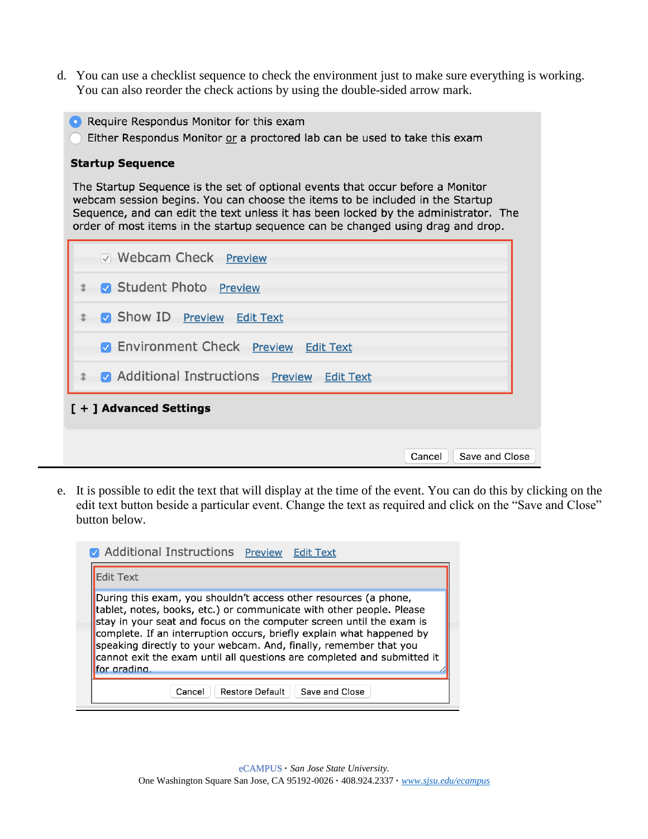- d. You can use a checklist sequence to check the environment just to make sure everything is working. You can also reorder the check actions by using the double-sided arrow mark.
	- Require Respondus Monitor for this exam
	- Either Respondus Monitor or a proctored lab can be used to take this exam

#### **Startup Sequence**

The Startup Sequence is the set of optional events that occur before a Monitor webcam session begins. You can choose the items to be included in the Startup Sequence, and can edit the text unless it has been locked by the administrator. The order of most items in the startup sequence can be changed using drag and drop.

| Save and Close<br>Cancel |
|--------------------------|
|                          |

e. It is possible to edit the text that will display at the time of the event. You can do this by clicking on the edit text button beside a particular event. Change the text as required and click on the "Save and Close" button below.

| Additional Instructions Preview Edit Text<br><b>Edit Text</b>                                                                                                                                                                                                                                                                                                                                                                                             |
|-----------------------------------------------------------------------------------------------------------------------------------------------------------------------------------------------------------------------------------------------------------------------------------------------------------------------------------------------------------------------------------------------------------------------------------------------------------|
| During this exam, you shouldn't access other resources (a phone,<br>tablet, notes, books, etc.) or communicate with other people. Please<br>stay in your seat and focus on the computer screen until the exam is<br>complete. If an interruption occurs, briefly explain what happened by<br>speaking directly to your webcam. And, finally, remember that you<br>cannot exit the exam until all questions are completed and submitted it<br>for grading. |
| <b>Restore Default</b><br>Save and Close<br>Cancel                                                                                                                                                                                                                                                                                                                                                                                                        |